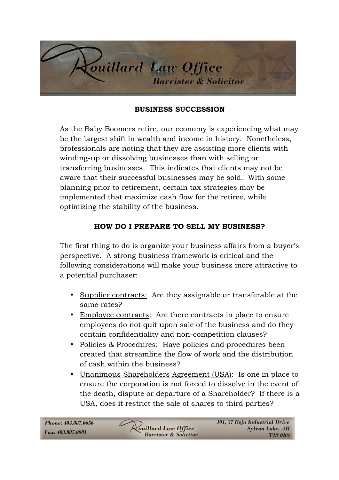

## **BUSINESS SUCCESSION**

As the Baby Boomers retire, our economy is experiencing what may be the largest shift in wealth and income in history. Nonetheless, professionals are noting that they are assisting more clients with winding-up or dissolving businesses than with selling or transferring businesses. This indicates that clients may not be aware that their successful businesses may be sold. With some planning prior to retirement, certain tax strategies may be implemented that maximize cash flow for the retiree, while optimizing the stability of the business.

## **HOW DO I PREPARE TO SELL MY BUSINESS?**

The first thing to do is organize your business affairs from a buyer's perspective. A strong business framework is critical and the following considerations will make your business more attractive to a potential purchaser:

- Supplier contracts: Are they assignable or transferable at the same rates?
- Employee contracts: Are there contracts in place to ensure employees do not quit upon sale of the business and do they contain confidentiality and non-competition clauses?
- Policies & Procedures: Have policies and procedures been created that streamline the flow of work and the distribution of cash within the business?
- Unanimous Shareholders Agreement (USA): Is one in place to ensure the corporation is not forced to dissolve in the event of the death, dispute or departure of a Shareholder? If there is a USA, does it restrict the sale of shares to third parties?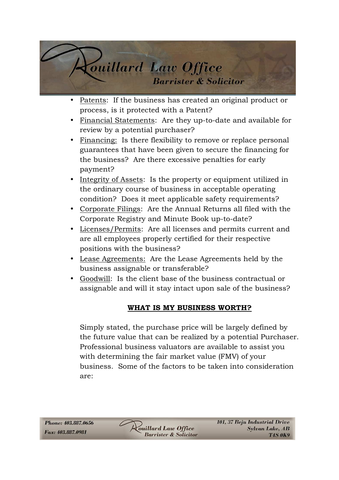

- Patents: If the business has created an original product or process, is it protected with a Patent?
- Financial Statements: Are they up-to-date and available for review by a potential purchaser?
- Financing: Is there flexibility to remove or replace personal guarantees that have been given to secure the financing for the business? Are there excessive penalties for early payment?
- Integrity of Assets: Is the property or equipment utilized in the ordinary course of business in acceptable operating condition? Does it meet applicable safety requirements?
- Corporate Filings: Are the Annual Returns all filed with the Corporate Registry and Minute Book up-to-date?
- Licenses/Permits: Are all licenses and permits current and are all employees properly certified for their respective positions with the business?
- Lease Agreements: Are the Lease Agreements held by the business assignable or transferable?
- Goodwill: Is the client base of the business contractual or assignable and will it stay intact upon sale of the business?

## **WHAT IS MY BUSINESS WORTH?**

Simply stated, the purchase price will be largely defined by the future value that can be realized by a potential Purchaser. Professional business valuators are available to assist you with determining the fair market value (FMV) of your business. Some of the factors to be taken into consideration are: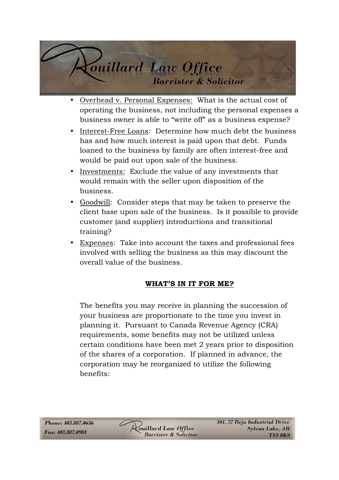

- Overhead v. Personal Expenses: What is the actual cost of operating the business, not including the personal expenses a business owner is able to "write off" as a business expense?
- Interest-Free Loans: Determine how much debt the business has and how much interest is paid upon that debt. Funds loaned to the business by family are often interest-free and would be paid out upon sale of the business.
- Investments: Exclude the value of any investments that would remain with the seller upon disposition of the business.
- Goodwill: Consider steps that may be taken to preserve the client base upon sale of the business. Is it possible to provide customer (and supplier) introductions and transitional training?
- Expenses: Take into account the taxes and professional fees involved with selling the business as this may discount the overall value of the business.

## **WHAT'S IN IT FOR ME?**

The benefits you may receive in planning the succession of your business are proportionate to the time you invest in planning it. Pursuant to Canada Revenue Agency (CRA) requirements, some benefits may not be utilized unless certain conditions have been met 2 years prior to disposition of the shares of a corporation. If planned in advance, the corporation may be reorganized to utilize the following benefits: